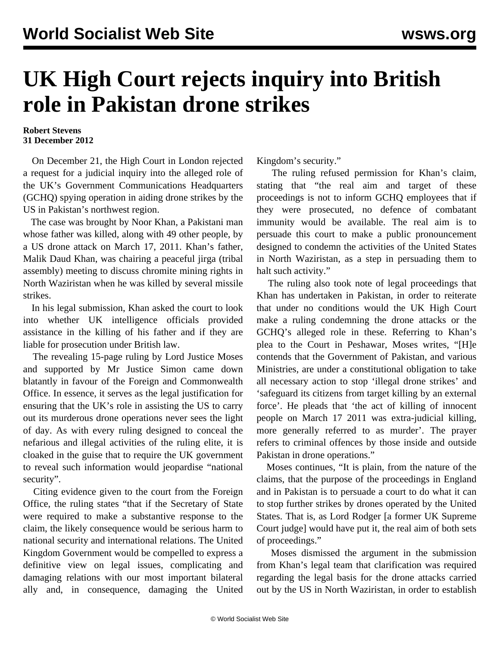## **UK High Court rejects inquiry into British role in Pakistan drone strikes**

## **Robert Stevens 31 December 2012**

 On December 21, the High Court in London rejected a request for a judicial inquiry into the alleged role of the UK's Government Communications Headquarters (GCHQ) spying operation in aiding drone strikes by the US in Pakistan's northwest region.

 The case was brought by Noor Khan, a Pakistani man whose father was killed, along with 49 other people, by a US drone attack on March 17, 2011. Khan's father, Malik Daud Khan, was chairing a peaceful jirga (tribal assembly) meeting to discuss chromite mining rights in North Waziristan when he was killed by several missile strikes.

 In his legal submission, Khan asked the court to look into whether UK intelligence officials provided assistance in the killing of his father and if they are liable for prosecution under British law.

 The revealing 15-page [ruling](http://www.judiciary.gov.uk/Resources/JCO/Documents/Judgments/khan-v-SSFCA-approved211212.pdf) by Lord Justice Moses and supported by Mr Justice Simon came down blatantly in favour of the Foreign and Commonwealth Office. In essence, it serves as the legal justification for ensuring that the UK's role in assisting the US to carry out its murderous drone operations never sees the light of day. As with every ruling designed to conceal the nefarious and illegal activities of the ruling elite, it is cloaked in the guise that to require the UK government to reveal such information would jeopardise "national security".

 Citing evidence given to the court from the Foreign Office, the ruling states "that if the Secretary of State were required to make a substantive response to the claim, the likely consequence would be serious harm to national security and international relations. The United Kingdom Government would be compelled to express a definitive view on legal issues, complicating and damaging relations with our most important bilateral ally and, in consequence, damaging the United

Kingdom's security."

 The ruling refused permission for Khan's claim, stating that "the real aim and target of these proceedings is not to inform GCHQ employees that if they were prosecuted, no defence of combatant immunity would be available. The real aim is to persuade this court to make a public pronouncement designed to condemn the activities of the United States in North Waziristan, as a step in persuading them to halt such activity."

 The ruling also took note of legal proceedings that Khan has undertaken in Pakistan, in order to reiterate that under no conditions would the UK High Court make a ruling condemning the drone attacks or the GCHQ's alleged role in these. Referring to Khan's plea to the Court in Peshawar, Moses writes, "[H]e contends that the Government of Pakistan, and various Ministries, are under a constitutional obligation to take all necessary action to stop 'illegal drone strikes' and 'safeguard its citizens from target killing by an external force'. He pleads that 'the act of killing of innocent people on March 17 2011 was extra-judicial killing, more generally referred to as murder'. The prayer refers to criminal offences by those inside and outside Pakistan in drone operations."

 Moses continues, "It is plain, from the nature of the claims, that the purpose of the proceedings in England and in Pakistan is to persuade a court to do what it can to stop further strikes by drones operated by the United States. That is, as Lord Rodger [a former UK Supreme Court judge] would have put it, the real aim of both sets of proceedings."

 Moses dismissed the argument in the submission from Khan's legal team that clarification was required regarding the legal basis for the drone attacks carried out by the US in North Waziristan, in order to establish